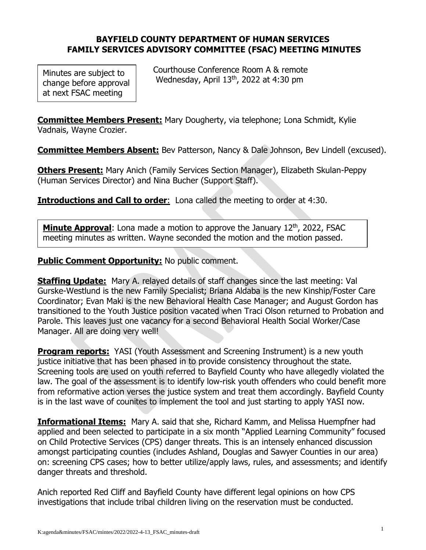## **BAYFIELD COUNTY DEPARTMENT OF HUMAN SERVICES FAMILY SERVICES ADVISORY COMMITTEE (FSAC) MEETING MINUTES**

Minutes are subject to change before approval at next FSAC meeting

 Courthouse Conference Room A & remote Wednesday, April 13 th , 2022 at 4:30 pm

**Committee Members Present:** Mary Dougherty, via telephone; Lona Schmidt, Kylie Vadnais, Wayne Crozier.

**Committee Members Absent:** Bev Patterson, Nancy & Dale Johnson, Bev Lindell (excused).

**Others Present:** Mary Anich (Family Services Section Manager), Elizabeth Skulan-Peppy (Human Services Director) and Nina Bucher (Support Staff).

**Introductions and Call to order:** Lona called the meeting to order at 4:30.

**Minute Approval:** Lona made a motion to approve the January 12<sup>th</sup>, 2022, FSAC meeting minutes as written. Wayne seconded the motion and the motion passed.

**Public Comment Opportunity: No public comment.** 

**Staffing Update:** Mary A. relayed details of staff changes since the last meeting: Val Gurske-Westlund is the new Family Specialist; Briana Aldaba is the new Kinship/Foster Care Coordinator; Evan Maki is the new Behavioral Health Case Manager; and August Gordon has transitioned to the Youth Justice position vacated when Traci Olson returned to Probation and Parole. This leaves just one vacancy for a second Behavioral Health Social Worker/Case Manager. All are doing very well!

**Program reports:** YASI (Youth Assessment and Screening Instrument) is a new youth justice initiative that has been phased in to provide consistency throughout the state. Screening tools are used on youth referred to Bayfield County who have allegedly violated the law. The goal of the assessment is to identify low-risk youth offenders who could benefit more from reformative action verses the justice system and treat them accordingly. Bayfield County is in the last wave of counites to implement the tool and just starting to apply YASI now.

**Informational Items:** Mary A. said that she, Richard Kamm, and Melissa Huempfner had applied and been selected to participate in a six month "Applied Learning Community" focused on Child Protective Services (CPS) danger threats. This is an intensely enhanced discussion amongst participating counties (includes Ashland, Douglas and Sawyer Counties in our area) on: screening CPS cases; how to better utilize/apply laws, rules, and assessments; and identify danger threats and threshold.

Anich reported Red Cliff and Bayfield County have different legal opinions on how CPS investigations that include tribal children living on the reservation must be conducted.